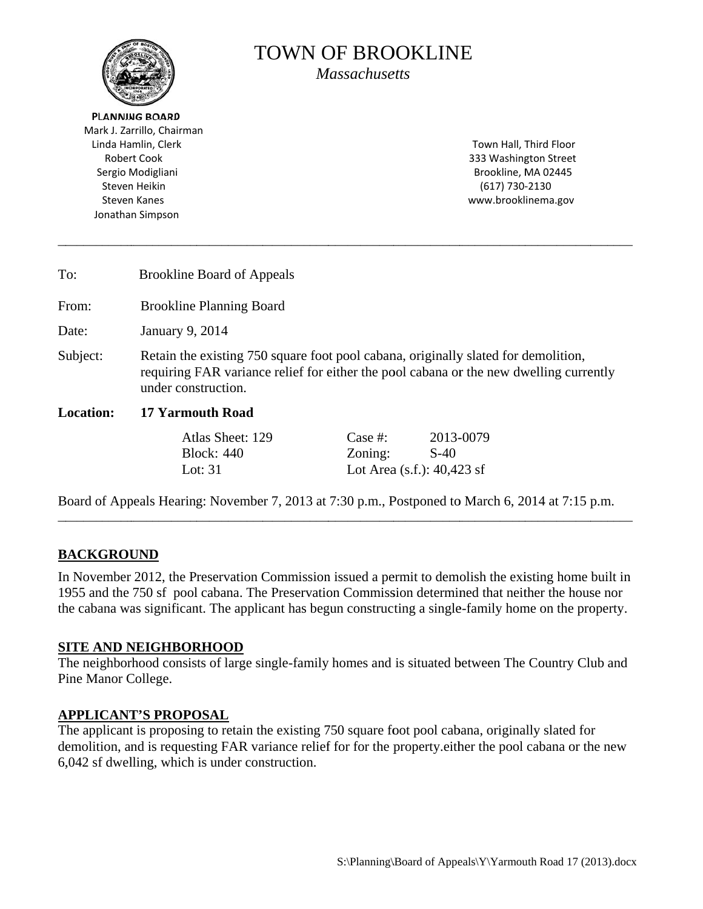

# **TOWN OF BROOKLINE**

**Massachusetts** 

**PLANNING BOARD** Mark J. Zarrillo, Chairman Linda Hamlin, Clerk **Robert Cook** Sergio Modigliani Steven Heikin **Steven Kanes** Jonathan Simpson

Town Hall, Third Floor 333 Washington Street Brookline, MA 02445  $(617) 730 - 2130$ www.brooklinema.gov

| To:              | <b>Brookline Board of Appeals</b>                                                                                                                                                                   |          |           |  |  |
|------------------|-----------------------------------------------------------------------------------------------------------------------------------------------------------------------------------------------------|----------|-----------|--|--|
| From:            | <b>Brookline Planning Board</b>                                                                                                                                                                     |          |           |  |  |
| Date:            | January 9, 2014                                                                                                                                                                                     |          |           |  |  |
| Subject:         | Retain the existing 750 square foot pool cabana, originally slated for demolition,<br>requiring FAR variance relief for either the pool cabana or the new dwelling currently<br>under construction. |          |           |  |  |
| <b>Location:</b> | <b>17 Yarmouth Road</b>                                                                                                                                                                             |          |           |  |  |
|                  | Atlas Sheet: 129                                                                                                                                                                                    | Case  #: | 2013-0079 |  |  |

as Sneet: 129 **Block: 440** Lot:  $31$ 

ase <del>i</del>r: Zoning:  $S-40$ Lot Area  $(s.f.)$ : 40,423 sf

Board of Appeals Hearing: November 7, 2013 at 7:30 p.m., Postponed to March 6, 2014 at 7:15 p.m.

### **BACKGROUND**

In November 2012, the Preservation Commission issued a permit to demolish the existing home built in 1955 and the 750 sf pool cabana. The Preservation Commission determined that neither the house nor the cabana was significant. The applicant has begun constructing a single-family home on the property.

### **SITE AND NEIGHBORHOOD**

The neighborhood consists of large single-family homes and is situated between The Country Club and Pine Manor College.

### **APPLICANT'S PROPOSAL**

The applicant is proposing to retain the existing 750 square foot pool cabana, originally slated for demolition, and is requesting FAR variance relief for for the property either the pool cabana or the new 6,042 sf dwelling, which is under construction.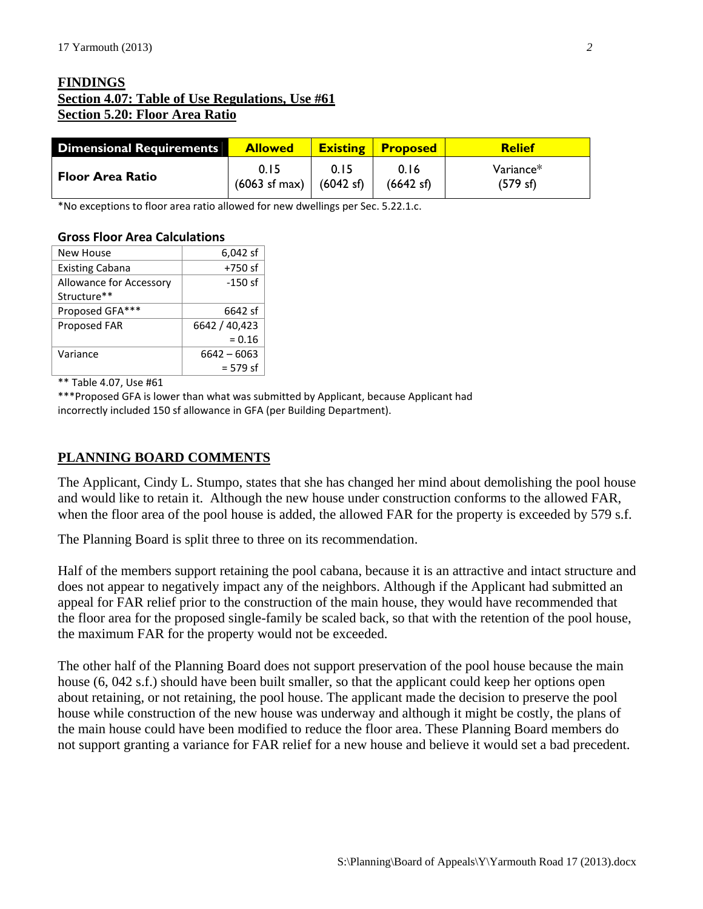## **FINDINGS Section 4.07: Table of Use Regulations, Use #61 Section 5.20: Floor Area Ratio**

| Dimensional Requirements | <b>Allowed</b>                                      |      | <b>Existing Proposed</b> | Relief               |
|--------------------------|-----------------------------------------------------|------|--------------------------|----------------------|
| <b>Floor Area Ratio</b>  | 0.15<br>$(6063 \text{ sf max})$ $(6042 \text{ sf})$ | 0.15 | 0.16<br>(6642 sf)        | Variance*<br>(579 s) |

\*No exceptions to floor area ratio allowed for new dwellings per Sec. 5.22.1.c.

#### **Gross Floor Area Calculations**

| New House               | 6,042 sf      |  |  |
|-------------------------|---------------|--|--|
| <b>Existing Cabana</b>  | $+750$ sf     |  |  |
| Allowance for Accessory | $-150$ sf     |  |  |
| Structure**             |               |  |  |
| Proposed GFA***         | 6642 sf       |  |  |
| Proposed FAR            | 6642 / 40,423 |  |  |
|                         | $= 0.16$      |  |  |
| Variance                | $6642 - 6063$ |  |  |
|                         | $= 579$ sf    |  |  |

\*\* Table 4.07, Use #61

\*\*\*Proposed GFA is lower than what was submitted by Applicant, because Applicant had incorrectly included 150 sf allowance in GFA (per Building Department).

### **PLANNING BOARD COMMENTS**

The Applicant, Cindy L. Stumpo, states that she has changed her mind about demolishing the pool house and would like to retain it. Although the new house under construction conforms to the allowed FAR, when the floor area of the pool house is added, the allowed FAR for the property is exceeded by 579 s.f.

The Planning Board is split three to three on its recommendation.

Half of the members support retaining the pool cabana, because it is an attractive and intact structure and does not appear to negatively impact any of the neighbors. Although if the Applicant had submitted an appeal for FAR relief prior to the construction of the main house, they would have recommended that the floor area for the proposed single-family be scaled back, so that with the retention of the pool house, the maximum FAR for the property would not be exceeded.

The other half of the Planning Board does not support preservation of the pool house because the main house (6, 042 s.f.) should have been built smaller, so that the applicant could keep her options open about retaining, or not retaining, the pool house. The applicant made the decision to preserve the pool house while construction of the new house was underway and although it might be costly, the plans of the main house could have been modified to reduce the floor area. These Planning Board members do not support granting a variance for FAR relief for a new house and believe it would set a bad precedent.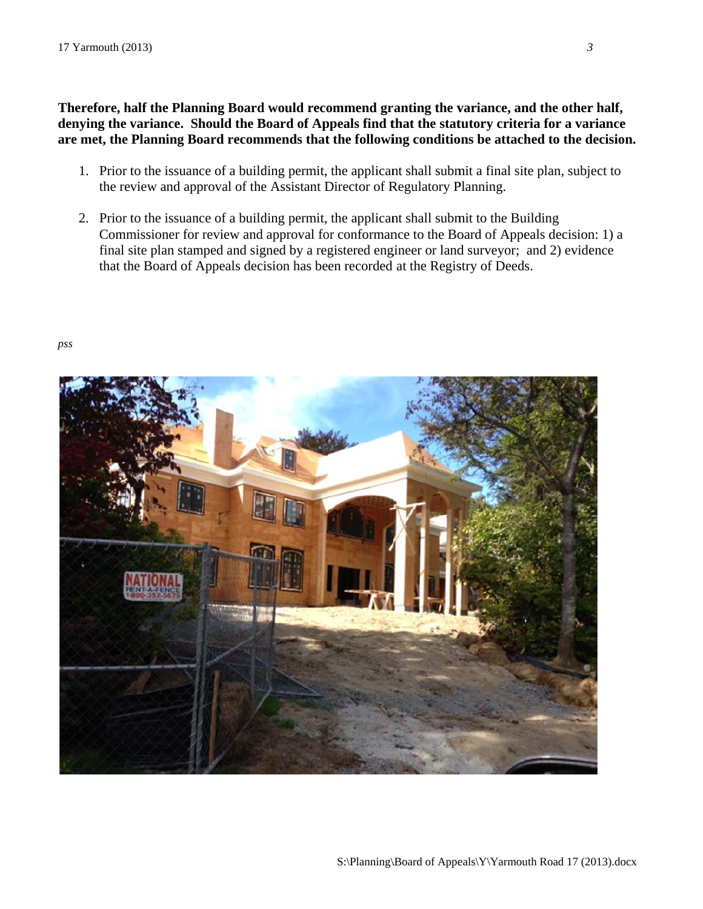Therefore, half the Planning Board would recommend granting the variance, and the other half, denying the variance. Should the Board of Appeals find that the statutory criteria for a variance are met, the Planning Board recommends that the following conditions be attached to the decision.

- 1. Prior to the issuance of a building permit, the applicant shall submit a final site plan, subject to the review and approval of the Assistant Director of Regulatory Planning.
- 2. Prior to the issuance of a building permit, the applicant shall submit to the Building Commissioner for review and approval for conformance to the Board of Appeals decision: 1) a final site plan stamped and signed by a registered engineer or land surveyor; and 2) evidence that the Board of Appeals decision has been recorded at the Registry of Deeds.